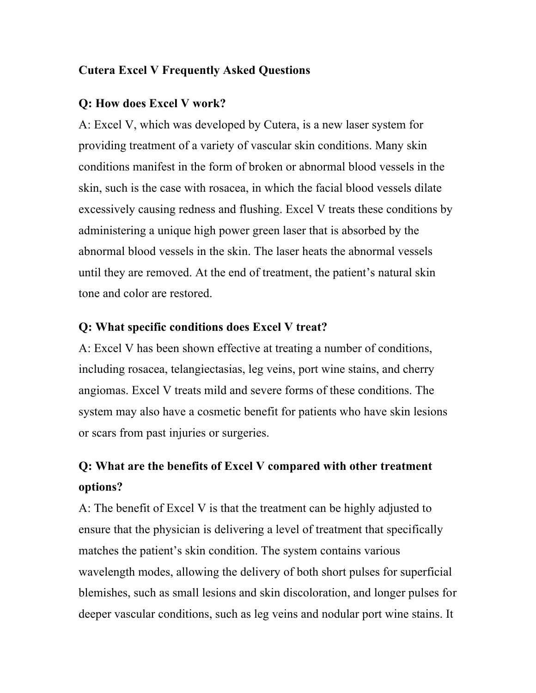## **Cutera Excel V Frequently Asked Questions**

### **Q: How does Excel V work?**

A: Excel V, which was developed by Cutera, is a new laser system for providing treatment of a variety of vascular skin conditions. Many skin conditions manifest in the form of broken or abnormal blood vessels in the skin, such is the case with rosacea, in which the facial blood vessels dilate excessively causing redness and flushing. Excel V treats these conditions by administering a unique high power green laser that is absorbed by the abnormal blood vessels in the skin. The laser heats the abnormal vessels until they are removed. At the end of treatment, the patient's natural skin tone and color are restored.

### **Q: What specific conditions does Excel V treat?**

A: Excel V has been shown effective at treating a number of conditions, including rosacea, telangiectasias, leg veins, port wine stains, and cherry angiomas. Excel V treats mild and severe forms of these conditions. The system may also have a cosmetic benefit for patients who have skin lesions or scars from past injuries or surgeries.

# **Q: What are the benefits of Excel V compared with other treatment options?**

A: The benefit of Excel V is that the treatment can be highly adjusted to ensure that the physician is delivering a level of treatment that specifically matches the patient's skin condition. The system contains various wavelength modes, allowing the delivery of both short pulses for superficial blemishes, such as small lesions and skin discoloration, and longer pulses for deeper vascular conditions, such as leg veins and nodular port wine stains. It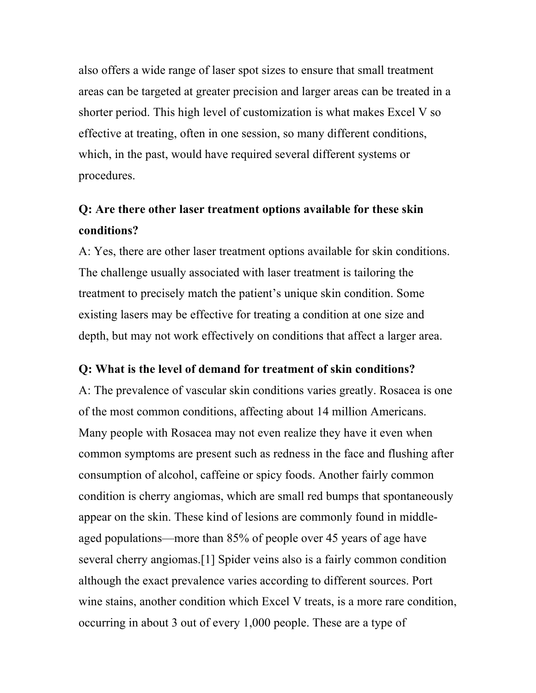also offers a wide range of laser spot sizes to ensure that small treatment areas can be targeted at greater precision and larger areas can be treated in a shorter period. This high level of customization is what makes Excel V so effective at treating, often in one session, so many different conditions, which, in the past, would have required several different systems or procedures.

# **Q: Are there other laser treatment options available for these skin conditions?**

A: Yes, there are other laser treatment options available for skin conditions. The challenge usually associated with laser treatment is tailoring the treatment to precisely match the patient's unique skin condition. Some existing lasers may be effective for treating a condition at one size and depth, but may not work effectively on conditions that affect a larger area.

#### **Q: What is the level of demand for treatment of skin conditions?**

A: The prevalence of vascular skin conditions varies greatly. Rosacea is one of the most common conditions, affecting about 14 million Americans. Many people with Rosacea may not even realize they have it even when common symptoms are present such as redness in the face and flushing after consumption of alcohol, caffeine or spicy foods. Another fairly common condition is cherry angiomas, which are small red bumps that spontaneously appear on the skin. These kind of lesions are commonly found in middleaged populations—more than 85% of people over 45 years of age have several cherry angiomas.[1] Spider veins also is a fairly common condition although the exact prevalence varies according to different sources. Port wine stains, another condition which Excel V treats, is a more rare condition, occurring in about 3 out of every 1,000 people. These are a type of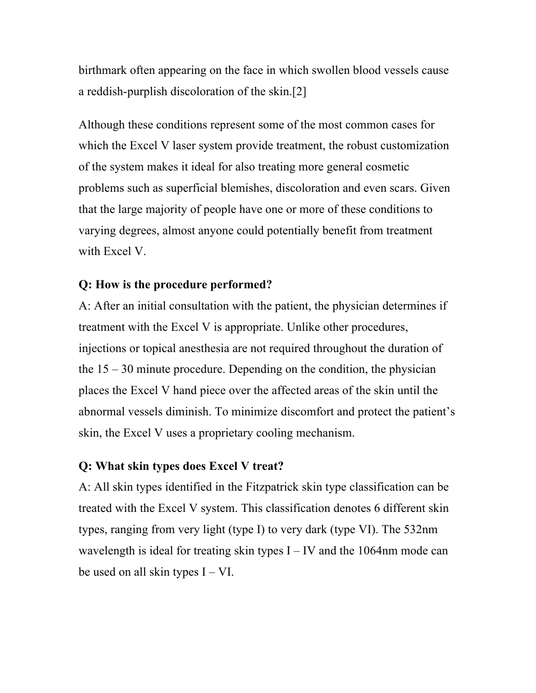birthmark often appearing on the face in which swollen blood vessels cause a reddish-purplish discoloration of the skin.[2]

Although these conditions represent some of the most common cases for which the Excel V laser system provide treatment, the robust customization of the system makes it ideal for also treating more general cosmetic problems such as superficial blemishes, discoloration and even scars. Given that the large majority of people have one or more of these conditions to varying degrees, almost anyone could potentially benefit from treatment with Excel V.

# **Q: How is the procedure performed?**

A: After an initial consultation with the patient, the physician determines if treatment with the Excel V is appropriate. Unlike other procedures, injections or topical anesthesia are not required throughout the duration of the  $15 - 30$  minute procedure. Depending on the condition, the physician places the Excel V hand piece over the affected areas of the skin until the abnormal vessels diminish. To minimize discomfort and protect the patient's skin, the Excel V uses a proprietary cooling mechanism.

### **Q: What skin types does Excel V treat?**

A: All skin types identified in the Fitzpatrick skin type classification can be treated with the Excel V system. This classification denotes 6 different skin types, ranging from very light (type I) to very dark (type VI). The 532nm wavelength is ideal for treating skin types  $I - IV$  and the 1064nm mode can be used on all skin types I – VI.